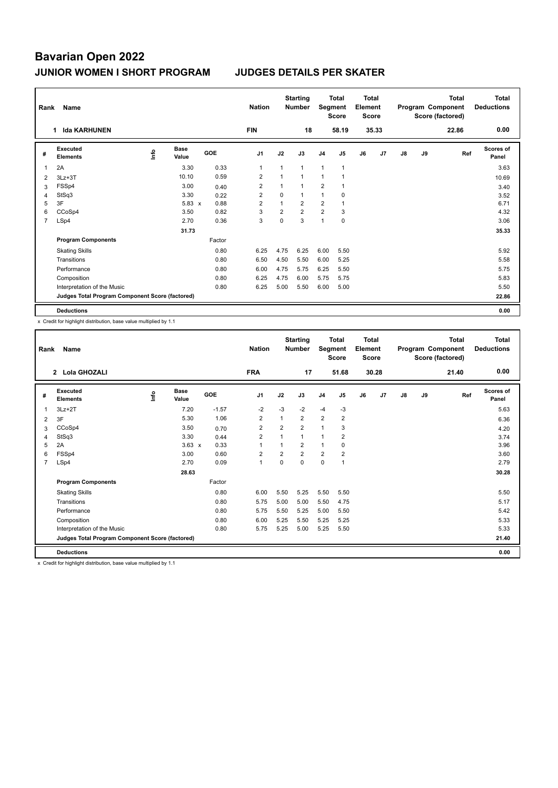| Rank           | Name                                            |   | <b>Nation</b>        |        | <b>Starting</b><br><b>Number</b> | Segment        | Total<br><b>Score</b> | Total<br>Element<br><b>Score</b> |                |    |       | <b>Total</b><br>Program Component<br>Score (factored) | <b>Total</b><br><b>Deductions</b> |       |                    |
|----------------|-------------------------------------------------|---|----------------------|--------|----------------------------------|----------------|-----------------------|----------------------------------|----------------|----|-------|-------------------------------------------------------|-----------------------------------|-------|--------------------|
|                | <b>Ida KARHUNEN</b><br>$\mathbf 1$              |   |                      |        | <b>FIN</b>                       |                | 18                    |                                  | 58.19          |    | 35.33 |                                                       |                                   | 22.86 | 0.00               |
| #              | Executed<br><b>Elements</b>                     | ۴ | <b>Base</b><br>Value | GOE    | J <sub>1</sub>                   | J2             | J3                    | J <sub>4</sub>                   | J <sub>5</sub> | J6 | J7    | $\mathsf{J}8$                                         | J9                                | Ref   | Scores of<br>Panel |
|                | 2A                                              |   | 3.30                 | 0.33   | 1                                | $\mathbf{1}$   | $\mathbf{1}$          | $\mathbf{1}$                     | $\overline{1}$ |    |       |                                                       |                                   |       | 3.63               |
| 2              | $3Lz + 3T$                                      |   | 10.10                | 0.59   | $\overline{2}$                   | $\overline{A}$ | $\mathbf{1}$          | $\overline{1}$                   |                |    |       |                                                       |                                   |       | 10.69              |
| 3              | FSSp4                                           |   | 3.00                 | 0.40   | $\overline{2}$                   | 1              | $\mathbf{1}$          | $\overline{2}$                   |                |    |       |                                                       |                                   |       | 3.40               |
| 4              | StSq3                                           |   | 3.30                 | 0.22   | 2                                | 0              | $\mathbf{1}$          | 1                                | 0              |    |       |                                                       |                                   |       | 3.52               |
| 5              | 3F                                              |   | $5.83 \times$        | 0.88   | $\overline{2}$                   | $\overline{1}$ | $\overline{2}$        | $\overline{2}$                   | $\overline{1}$ |    |       |                                                       |                                   |       | 6.71               |
| 6              | CCoSp4                                          |   | 3.50                 | 0.82   | 3                                | $\overline{2}$ | $\overline{2}$        | $\overline{2}$                   | 3              |    |       |                                                       |                                   |       | 4.32               |
| $\overline{7}$ | LSp4                                            |   | 2.70                 | 0.36   | 3                                | 0              | 3                     | $\overline{1}$                   | $\mathbf 0$    |    |       |                                                       |                                   |       | 3.06               |
|                |                                                 |   | 31.73                |        |                                  |                |                       |                                  |                |    |       |                                                       |                                   |       | 35.33              |
|                | <b>Program Components</b>                       |   |                      | Factor |                                  |                |                       |                                  |                |    |       |                                                       |                                   |       |                    |
|                | <b>Skating Skills</b>                           |   |                      | 0.80   | 6.25                             | 4.75           | 6.25                  | 6.00                             | 5.50           |    |       |                                                       |                                   |       | 5.92               |
|                | Transitions                                     |   |                      | 0.80   | 6.50                             | 4.50           | 5.50                  | 6.00                             | 5.25           |    |       |                                                       |                                   |       | 5.58               |
|                | Performance                                     |   |                      | 0.80   | 6.00                             | 4.75           | 5.75                  | 6.25                             | 5.50           |    |       |                                                       |                                   |       | 5.75               |
|                | Composition                                     |   |                      | 0.80   | 6.25                             | 4.75           | 6.00                  | 5.75                             | 5.75           |    |       |                                                       |                                   |       | 5.83               |
|                | Interpretation of the Music                     |   |                      | 0.80   | 6.25                             | 5.00           | 5.50                  | 6.00                             | 5.00           |    |       |                                                       |                                   |       | 5.50               |
|                | Judges Total Program Component Score (factored) |   |                      |        |                                  |                |                       |                                  |                |    |       |                                                       |                                   |       | 22.86              |
|                | <b>Deductions</b>                               |   |                      |        |                                  |                |                       |                                  |                |    |       |                                                       |                                   |       | 0.00               |

x Credit for highlight distribution, base value multiplied by 1.1

| Rank           | Name                                            |      |                      |         | <b>Nation</b>  |                | <b>Starting</b><br><b>Number</b> | Segment        | <b>Total</b><br><b>Score</b> | Total<br>Element<br><b>Score</b> |       |    |    | <b>Total</b><br>Program Component<br>Score (factored) | <b>Total</b><br><b>Deductions</b> |
|----------------|-------------------------------------------------|------|----------------------|---------|----------------|----------------|----------------------------------|----------------|------------------------------|----------------------------------|-------|----|----|-------------------------------------------------------|-----------------------------------|
|                | 2 Lola GHOZALI                                  |      |                      |         | <b>FRA</b>     |                | 17                               |                | 51.68                        |                                  | 30.28 |    |    | 21.40                                                 | 0.00                              |
| #              | Executed<br><b>Elements</b>                     | lnfo | <b>Base</b><br>Value | GOE     | J <sub>1</sub> | J2             | J3                               | J <sub>4</sub> | J <sub>5</sub>               | J6                               | J7    | J8 | J9 | Ref                                                   | Scores of<br>Panel                |
| 1              | $3Lz + 2T$                                      |      | 7.20                 | $-1.57$ | $-2$           | $-3$           | $-2$                             | $-4$           | $-3$                         |                                  |       |    |    |                                                       | 5.63                              |
| 2              | 3F                                              |      | 5.30                 | 1.06    | $\overline{2}$ | 1              | $\overline{2}$                   | $\overline{2}$ | 2                            |                                  |       |    |    |                                                       | 6.36                              |
| 3              | CCoSp4                                          |      | 3.50                 | 0.70    | $\overline{2}$ | $\overline{2}$ | $\overline{2}$                   | $\mathbf{1}$   | 3                            |                                  |       |    |    |                                                       | 4.20                              |
| 4              | StSq3                                           |      | 3.30                 | 0.44    | $\overline{2}$ | $\overline{1}$ | 1                                | $\overline{1}$ | 2                            |                                  |       |    |    |                                                       | 3.74                              |
| 5              | 2A                                              |      | $3.63 \times$        | 0.33    | $\mathbf{1}$   | 1              | $\overline{2}$                   | $\overline{1}$ | $\Omega$                     |                                  |       |    |    |                                                       | 3.96                              |
| 6              | FSSp4                                           |      | 3.00                 | 0.60    | $\overline{2}$ | $\overline{2}$ | $\overline{2}$                   | $\overline{2}$ | $\overline{2}$               |                                  |       |    |    |                                                       | 3.60                              |
| $\overline{7}$ | LSp4                                            |      | 2.70                 | 0.09    | $\mathbf{1}$   | $\Omega$       | $\Omega$                         | $\mathbf 0$    | 1                            |                                  |       |    |    |                                                       | 2.79                              |
|                |                                                 |      | 28.63                |         |                |                |                                  |                |                              |                                  |       |    |    |                                                       | 30.28                             |
|                | <b>Program Components</b>                       |      |                      | Factor  |                |                |                                  |                |                              |                                  |       |    |    |                                                       |                                   |
|                | <b>Skating Skills</b>                           |      |                      | 0.80    | 6.00           | 5.50           | 5.25                             | 5.50           | 5.50                         |                                  |       |    |    |                                                       | 5.50                              |
|                | Transitions                                     |      |                      | 0.80    | 5.75           | 5.00           | 5.00                             | 5.50           | 4.75                         |                                  |       |    |    |                                                       | 5.17                              |
|                | Performance                                     |      |                      | 0.80    | 5.75           | 5.50           | 5.25                             | 5.00           | 5.50                         |                                  |       |    |    |                                                       | 5.42                              |
|                | Composition                                     |      |                      | 0.80    | 6.00           | 5.25           | 5.50                             | 5.25           | 5.25                         |                                  |       |    |    |                                                       | 5.33                              |
|                | Interpretation of the Music                     |      |                      | 0.80    | 5.75           | 5.25           | 5.00                             | 5.25           | 5.50                         |                                  |       |    |    |                                                       | 5.33                              |
|                | Judges Total Program Component Score (factored) |      |                      |         |                |                |                                  |                |                              |                                  |       |    |    |                                                       | 21.40                             |
|                | <b>Deductions</b>                               |      |                      |         |                |                |                                  |                |                              |                                  |       |    |    |                                                       | 0.00                              |

x Credit for highlight distribution, base value multiplied by 1.1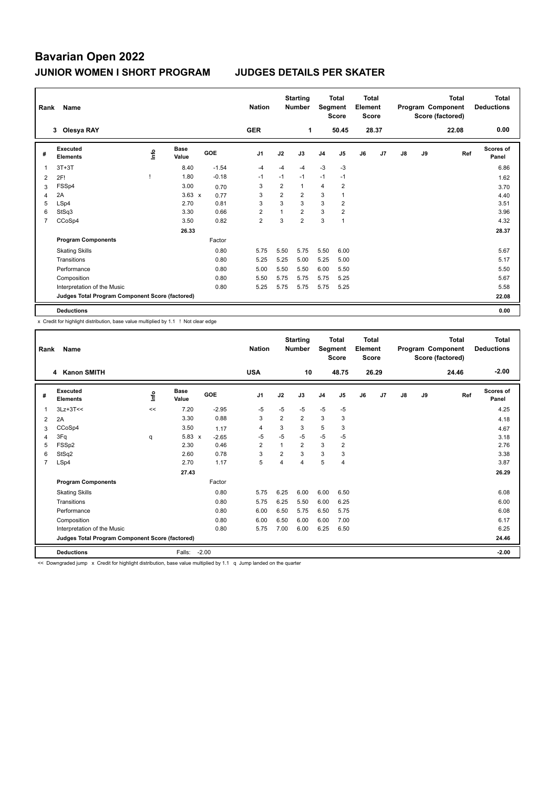| Rank | Name                                            |   |                      |         | <b>Nation</b>  |                | <b>Starting</b><br><b>Number</b> | Segment        | Total<br><b>Score</b> | Total<br>Element<br><b>Score</b> |       |               |    | <b>Total</b><br>Program Component<br>Score (factored) | <b>Total</b><br><b>Deductions</b> |
|------|-------------------------------------------------|---|----------------------|---------|----------------|----------------|----------------------------------|----------------|-----------------------|----------------------------------|-------|---------------|----|-------------------------------------------------------|-----------------------------------|
|      | Olesya RAY<br>3                                 |   |                      |         | <b>GER</b>     |                | $\mathbf 1$                      |                | 50.45                 |                                  | 28.37 |               |    | 22.08                                                 | 0.00                              |
| #    | Executed<br><b>Elements</b>                     | ۴ | <b>Base</b><br>Value | GOE     | J <sub>1</sub> | J2             | J3                               | J <sub>4</sub> | J <sub>5</sub>        | J6                               | J7    | $\mathsf{J}8$ | J9 | Ref                                                   | Scores of<br>Panel                |
|      | $3T+3T$                                         |   | 8.40                 | $-1.54$ | $-4$           | $-4$           | $-4$                             | $-3$           | $-3$                  |                                  |       |               |    |                                                       | 6.86                              |
| 2    | 2F!                                             |   | 1.80                 | $-0.18$ | $-1$           | $-1$           | $-1$                             | $-1$           | $-1$                  |                                  |       |               |    |                                                       | 1.62                              |
| 3    | FSSp4                                           |   | 3.00                 | 0.70    | 3              | $\overline{2}$ | $\mathbf{1}$                     | $\overline{4}$ | $\overline{2}$        |                                  |       |               |    |                                                       | 3.70                              |
| 4    | 2A                                              |   | $3.63 \times$        | 0.77    | 3              | 2              | $\overline{2}$                   | 3              |                       |                                  |       |               |    |                                                       | 4.40                              |
| 5    | LSp4                                            |   | 2.70                 | 0.81    | 3              | 3              | 3                                | 3              | $\overline{2}$        |                                  |       |               |    |                                                       | 3.51                              |
| 6    | StSq3                                           |   | 3.30                 | 0.66    | $\overline{2}$ | 1              | $\overline{2}$                   | 3              | $\overline{2}$        |                                  |       |               |    |                                                       | 3.96                              |
| 7    | CCoSp4                                          |   | 3.50                 | 0.82    | $\overline{2}$ | 3              | $\overline{2}$                   | 3              | $\overline{1}$        |                                  |       |               |    |                                                       | 4.32                              |
|      |                                                 |   | 26.33                |         |                |                |                                  |                |                       |                                  |       |               |    |                                                       | 28.37                             |
|      | <b>Program Components</b>                       |   |                      | Factor  |                |                |                                  |                |                       |                                  |       |               |    |                                                       |                                   |
|      | <b>Skating Skills</b>                           |   |                      | 0.80    | 5.75           | 5.50           | 5.75                             | 5.50           | 6.00                  |                                  |       |               |    |                                                       | 5.67                              |
|      | Transitions                                     |   |                      | 0.80    | 5.25           | 5.25           | 5.00                             | 5.25           | 5.00                  |                                  |       |               |    |                                                       | 5.17                              |
|      | Performance                                     |   |                      | 0.80    | 5.00           | 5.50           | 5.50                             | 6.00           | 5.50                  |                                  |       |               |    |                                                       | 5.50                              |
|      | Composition                                     |   |                      | 0.80    | 5.50           | 5.75           | 5.75                             | 5.75           | 5.25                  |                                  |       |               |    |                                                       | 5.67                              |
|      | Interpretation of the Music                     |   |                      | 0.80    | 5.25           | 5.75           | 5.75                             | 5.75           | 5.25                  |                                  |       |               |    |                                                       | 5.58                              |
|      | Judges Total Program Component Score (factored) |   |                      |         |                |                |                                  |                |                       |                                  |       |               |    |                                                       | 22.08                             |
|      | <b>Deductions</b>                               |   |                      |         |                |                |                                  |                |                       |                                  |       |               |    |                                                       | 0.00                              |

x Credit for highlight distribution, base value multiplied by 1.1 ! Not clear edge

| Rank           | Name                                            |      |                                   |         | <b>Nation</b>  |                | <b>Starting</b><br><b>Number</b> | Segment        | <b>Total</b><br><b>Score</b> | <b>Total</b><br>Element<br><b>Score</b> |                |    |    | Total<br>Program Component<br>Score (factored) | <b>Total</b><br><b>Deductions</b> |
|----------------|-------------------------------------------------|------|-----------------------------------|---------|----------------|----------------|----------------------------------|----------------|------------------------------|-----------------------------------------|----------------|----|----|------------------------------------------------|-----------------------------------|
|                | <b>Kanon SMITH</b><br>4                         |      |                                   |         | <b>USA</b>     |                | 10                               |                | 48.75                        |                                         | 26.29          |    |    | 24.46                                          | $-2.00$                           |
| #              | Executed<br><b>Elements</b>                     | ١nto | <b>Base</b><br>Value              | GOE     | J <sub>1</sub> | J2             | J3                               | J <sub>4</sub> | J <sub>5</sub>               | J6                                      | J <sub>7</sub> | J8 | J9 | Ref                                            | Scores of<br>Panel                |
| 1              | $3Lz+3T<<$                                      | <<   | 7.20                              | $-2.95$ | $-5$           | $-5$           | $-5$                             | $-5$           | $-5$                         |                                         |                |    |    |                                                | 4.25                              |
| 2              | 2A                                              |      | 3.30                              | 0.88    | 3              | $\overline{2}$ | $\overline{2}$                   | 3              | 3                            |                                         |                |    |    |                                                | 4.18                              |
| 3              | CCoSp4                                          |      | 3.50                              | 1.17    | $\overline{4}$ | 3              | 3                                | 5              | 3                            |                                         |                |    |    |                                                | 4.67                              |
| 4              | 3Fq                                             | q    | 5.83<br>$\boldsymbol{\mathsf{x}}$ | $-2.65$ | $-5$           | $-5$           | $-5$                             | $-5$           | $-5$                         |                                         |                |    |    |                                                | 3.18                              |
| 5              | FSSp2                                           |      | 2.30                              | 0.46    | $\overline{2}$ | 1              | $\overline{2}$                   | 3              | $\overline{2}$               |                                         |                |    |    |                                                | 2.76                              |
| 6              | StSq2                                           |      | 2.60                              | 0.78    | 3              | $\overline{2}$ | 3                                | 3              | 3                            |                                         |                |    |    |                                                | 3.38                              |
| $\overline{7}$ | LSp4                                            |      | 2.70                              | 1.17    | 5              | 4              | 4                                | 5              | 4                            |                                         |                |    |    |                                                | 3.87                              |
|                |                                                 |      | 27.43                             |         |                |                |                                  |                |                              |                                         |                |    |    |                                                | 26.29                             |
|                | <b>Program Components</b>                       |      |                                   | Factor  |                |                |                                  |                |                              |                                         |                |    |    |                                                |                                   |
|                | <b>Skating Skills</b>                           |      |                                   | 0.80    | 5.75           | 6.25           | 6.00                             | 6.00           | 6.50                         |                                         |                |    |    |                                                | 6.08                              |
|                | Transitions                                     |      |                                   | 0.80    | 5.75           | 6.25           | 5.50                             | 6.00           | 6.25                         |                                         |                |    |    |                                                | 6.00                              |
|                | Performance                                     |      |                                   | 0.80    | 6.00           | 6.50           | 5.75                             | 6.50           | 5.75                         |                                         |                |    |    |                                                | 6.08                              |
|                | Composition                                     |      |                                   | 0.80    | 6.00           | 6.50           | 6.00                             | 6.00           | 7.00                         |                                         |                |    |    |                                                | 6.17                              |
|                | Interpretation of the Music                     |      |                                   | 0.80    | 5.75           | 7.00           | 6.00                             | 6.25           | 6.50                         |                                         |                |    |    |                                                | 6.25                              |
|                | Judges Total Program Component Score (factored) |      |                                   |         |                |                |                                  |                |                              |                                         |                |    |    |                                                | 24.46                             |
|                | <b>Deductions</b>                               |      | Falls:                            | $-2.00$ |                |                |                                  |                |                              |                                         |                |    |    |                                                | $-2.00$                           |

<< Downgraded jump x Credit for highlight distribution, base value multiplied by 1.1 q Jump landed on the quarter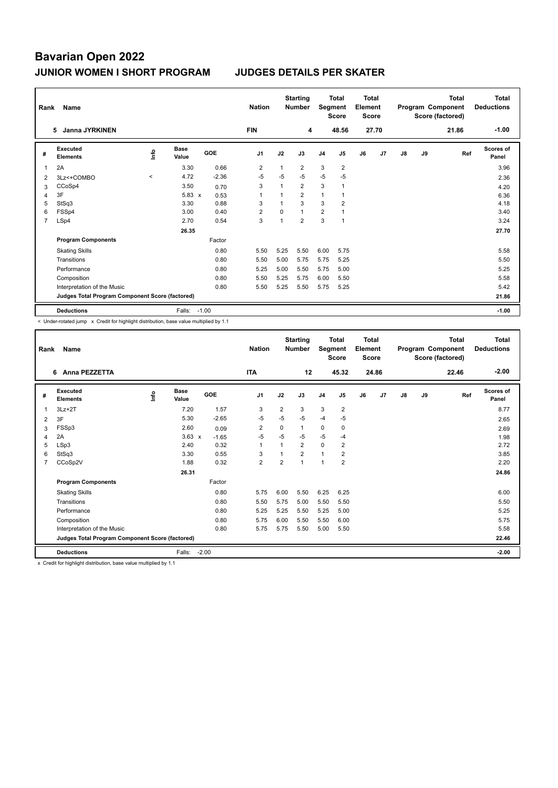| Rank | Name                                            |         |                      |         | <b>Nation</b>  |              | <b>Starting</b><br><b>Number</b> | Segment        | <b>Total</b><br><b>Score</b> | <b>Total</b><br>Element<br><b>Score</b> |                |               |    | <b>Total</b><br>Program Component<br>Score (factored) | <b>Total</b><br><b>Deductions</b> |
|------|-------------------------------------------------|---------|----------------------|---------|----------------|--------------|----------------------------------|----------------|------------------------------|-----------------------------------------|----------------|---------------|----|-------------------------------------------------------|-----------------------------------|
|      | <b>Janna JYRKINEN</b><br>5.                     |         |                      |         | <b>FIN</b>     |              | 4                                |                | 48.56                        |                                         | 27.70          |               |    | 21.86                                                 | $-1.00$                           |
| #    | Executed<br><b>Elements</b>                     | Info    | <b>Base</b><br>Value | GOE     | J <sub>1</sub> | J2           | J3                               | J <sub>4</sub> | J5                           | J6                                      | J <sub>7</sub> | $\mathsf{J}8$ | J9 | Ref                                                   | <b>Scores of</b><br>Panel         |
| 1    | 2A                                              |         | 3.30                 | 0.66    | $\overline{2}$ | 1            | $\overline{2}$                   | 3              | $\overline{2}$               |                                         |                |               |    |                                                       | 3.96                              |
| 2    | 3Lz<+COMBO                                      | $\prec$ | 4.72                 | $-2.36$ | $-5$           | $-5$         | $-5$                             | $-5$           | $-5$                         |                                         |                |               |    |                                                       | 2.36                              |
| 3    | CCoSp4                                          |         | 3.50                 | 0.70    | 3              | 1            | $\overline{2}$                   | 3              | $\overline{1}$               |                                         |                |               |    |                                                       | 4.20                              |
| 4    | 3F                                              |         | $5.83 \times$        | 0.53    | 1              |              | $\overline{2}$                   | $\mathbf{1}$   |                              |                                         |                |               |    |                                                       | 6.36                              |
| 5    | StSq3                                           |         | 3.30                 | 0.88    | 3              | $\mathbf{1}$ | 3                                | 3              | $\overline{2}$               |                                         |                |               |    |                                                       | 4.18                              |
| 6    | FSSp4                                           |         | 3.00                 | 0.40    | $\overline{2}$ | 0            | $\mathbf{1}$                     | $\overline{2}$ |                              |                                         |                |               |    |                                                       | 3.40                              |
| 7    | LSp4                                            |         | 2.70                 | 0.54    | 3              | $\mathbf{1}$ | $\overline{2}$                   | 3              | $\overline{1}$               |                                         |                |               |    |                                                       | 3.24                              |
|      |                                                 |         | 26.35                |         |                |              |                                  |                |                              |                                         |                |               |    |                                                       | 27.70                             |
|      | <b>Program Components</b>                       |         |                      | Factor  |                |              |                                  |                |                              |                                         |                |               |    |                                                       |                                   |
|      | <b>Skating Skills</b>                           |         |                      | 0.80    | 5.50           | 5.25         | 5.50                             | 6.00           | 5.75                         |                                         |                |               |    |                                                       | 5.58                              |
|      | Transitions                                     |         |                      | 0.80    | 5.50           | 5.00         | 5.75                             | 5.75           | 5.25                         |                                         |                |               |    |                                                       | 5.50                              |
|      | Performance                                     |         |                      | 0.80    | 5.25           | 5.00         | 5.50                             | 5.75           | 5.00                         |                                         |                |               |    |                                                       | 5.25                              |
|      | Composition                                     |         |                      | 0.80    | 5.50           | 5.25         | 5.75                             | 6.00           | 5.50                         |                                         |                |               |    |                                                       | 5.58                              |
|      | Interpretation of the Music                     |         |                      | 0.80    | 5.50           | 5.25         | 5.50                             | 5.75           | 5.25                         |                                         |                |               |    |                                                       | 5.42                              |
|      | Judges Total Program Component Score (factored) |         |                      |         |                |              |                                  |                |                              |                                         |                |               |    |                                                       | 21.86                             |
|      | <b>Deductions</b>                               |         | Falls:               | $-1.00$ |                |              |                                  |                |                              |                                         |                |               |    |                                                       | $-1.00$                           |

< Under-rotated jump x Credit for highlight distribution, base value multiplied by 1.1

| Rank           | Name                                            |      |                      |         | <b>Nation</b>  |                | <b>Starting</b><br><b>Number</b> | Segment        | <b>Total</b><br><b>Score</b> | Total<br>Element<br><b>Score</b> |       |               |    | <b>Total</b><br>Program Component<br>Score (factored) | <b>Total</b><br><b>Deductions</b> |
|----------------|-------------------------------------------------|------|----------------------|---------|----------------|----------------|----------------------------------|----------------|------------------------------|----------------------------------|-------|---------------|----|-------------------------------------------------------|-----------------------------------|
|                | Anna PEZZETTA<br>6                              |      |                      |         | <b>ITA</b>     |                | 12                               |                | 45.32                        |                                  | 24.86 |               |    | 22.46                                                 | $-2.00$                           |
| #              | Executed<br><b>Elements</b>                     | lnfo | <b>Base</b><br>Value | GOE     | J <sub>1</sub> | J2             | J3                               | J <sub>4</sub> | J5                           | J6                               | J7    | $\mathsf{J}8$ | J9 | Ref                                                   | Scores of<br>Panel                |
| 1              | $3Lz + 2T$                                      |      | 7.20                 | 1.57    | 3              | $\overline{2}$ | 3                                | 3              | $\overline{2}$               |                                  |       |               |    |                                                       | 8.77                              |
| 2              | 3F                                              |      | 5.30                 | $-2.65$ | $-5$           | $-5$           | $-5$                             | $-4$           | $-5$                         |                                  |       |               |    |                                                       | 2.65                              |
| 3              | FSSp3                                           |      | 2.60                 | 0.09    | $\overline{2}$ | 0              | 1                                | 0              | 0                            |                                  |       |               |    |                                                       | 2.69                              |
| 4              | 2A                                              |      | $3.63 \times$        | $-1.65$ | $-5$           | $-5$           | $-5$                             | $-5$           | $-4$                         |                                  |       |               |    |                                                       | 1.98                              |
| 5              | LSp3                                            |      | 2.40                 | 0.32    | $\mathbf{1}$   |                | $\overline{2}$                   | $\mathbf 0$    | $\overline{2}$               |                                  |       |               |    |                                                       | 2.72                              |
| 6              | StSq3                                           |      | 3.30                 | 0.55    | 3              |                | $\overline{2}$                   | $\mathbf{1}$   | 2                            |                                  |       |               |    |                                                       | 3.85                              |
| $\overline{7}$ | CCoSp2V                                         |      | 1.88                 | 0.32    | $\overline{2}$ | $\overline{2}$ | $\overline{1}$                   | $\overline{1}$ | $\overline{2}$               |                                  |       |               |    |                                                       | 2.20                              |
|                |                                                 |      | 26.31                |         |                |                |                                  |                |                              |                                  |       |               |    |                                                       | 24.86                             |
|                | <b>Program Components</b>                       |      |                      | Factor  |                |                |                                  |                |                              |                                  |       |               |    |                                                       |                                   |
|                | <b>Skating Skills</b>                           |      |                      | 0.80    | 5.75           | 6.00           | 5.50                             | 6.25           | 6.25                         |                                  |       |               |    |                                                       | 6.00                              |
|                | Transitions                                     |      |                      | 0.80    | 5.50           | 5.75           | 5.00                             | 5.50           | 5.50                         |                                  |       |               |    |                                                       | 5.50                              |
|                | Performance                                     |      |                      | 0.80    | 5.25           | 5.25           | 5.50                             | 5.25           | 5.00                         |                                  |       |               |    |                                                       | 5.25                              |
|                | Composition                                     |      |                      | 0.80    | 5.75           | 6.00           | 5.50                             | 5.50           | 6.00                         |                                  |       |               |    |                                                       | 5.75                              |
|                | Interpretation of the Music                     |      |                      | 0.80    | 5.75           | 5.75           | 5.50                             | 5.00           | 5.50                         |                                  |       |               |    |                                                       | 5.58                              |
|                | Judges Total Program Component Score (factored) |      |                      |         |                |                |                                  |                |                              |                                  |       |               |    |                                                       | 22.46                             |
|                | <b>Deductions</b>                               |      | Falls:               | $-2.00$ |                |                |                                  |                |                              |                                  |       |               |    |                                                       | $-2.00$                           |

x Credit for highlight distribution, base value multiplied by 1.1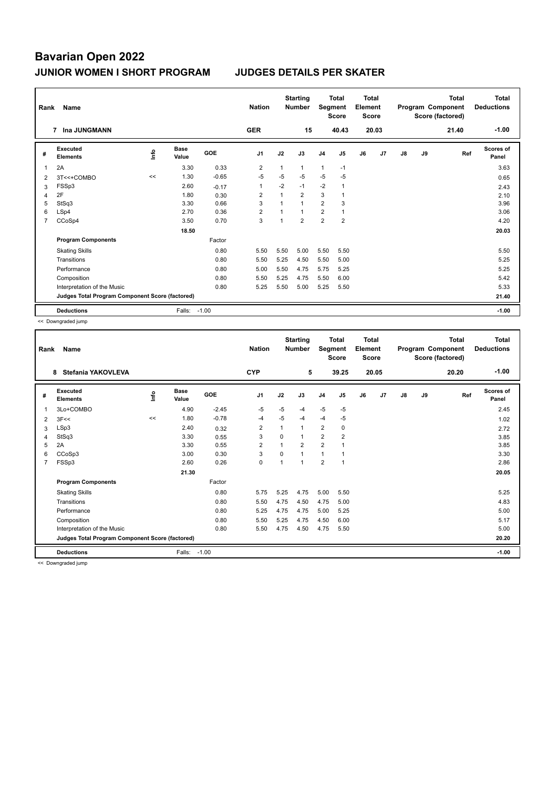| Rank | Name                                            |      | <b>Nation</b>        |            | <b>Starting</b><br><b>Number</b> | Segment        | <b>Total</b><br><b>Score</b> | Total<br>Element<br><b>Score</b> |                |    |                | Total<br>Program Component<br>Score (factored) | Total<br><b>Deductions</b> |       |                    |
|------|-------------------------------------------------|------|----------------------|------------|----------------------------------|----------------|------------------------------|----------------------------------|----------------|----|----------------|------------------------------------------------|----------------------------|-------|--------------------|
|      | Ina JUNGMANN<br>7                               |      |                      |            | <b>GER</b>                       |                | 15                           |                                  | 40.43          |    | 20.03          |                                                |                            | 21.40 | $-1.00$            |
| #    | Executed<br><b>Elements</b>                     | ١nf٥ | <b>Base</b><br>Value | <b>GOE</b> | J <sub>1</sub>                   | J2             | J3                           | J <sub>4</sub>                   | J5             | J6 | J <sub>7</sub> | J8                                             | J9                         | Ref   | Scores of<br>Panel |
| 1    | 2A                                              |      | 3.30                 | 0.33       | 2                                | $\mathbf{1}$   | 1                            | 1                                | $-1$           |    |                |                                                |                            |       | 3.63               |
| 2    | 3T<<+COMBO                                      | <<   | 1.30                 | $-0.65$    | $-5$                             | $-5$           | $-5$                         | $-5$                             | $-5$           |    |                |                                                |                            |       | 0.65               |
| 3    | FSSp3                                           |      | 2.60                 | $-0.17$    | $\mathbf{1}$                     | $-2$           | $-1$                         | $-2$                             | $\overline{1}$ |    |                |                                                |                            |       | 2.43               |
| 4    | 2F                                              |      | 1.80                 | 0.30       | $\overline{2}$                   | 1              | $\overline{2}$               | 3                                |                |    |                |                                                |                            |       | 2.10               |
| 5    | StSq3                                           |      | 3.30                 | 0.66       | 3                                | $\overline{1}$ | $\overline{1}$               | $\overline{2}$                   | 3              |    |                |                                                |                            |       | 3.96               |
| 6    | LSp4                                            |      | 2.70                 | 0.36       | $\overline{2}$                   | 1              | $\mathbf{1}$                 | $\overline{2}$                   | $\mathbf{1}$   |    |                |                                                |                            |       | 3.06               |
| 7    | CCoSp4                                          |      | 3.50                 | 0.70       | 3                                | 1              | $\overline{2}$               | $\overline{2}$                   | $\overline{2}$ |    |                |                                                |                            |       | 4.20               |
|      |                                                 |      | 18.50                |            |                                  |                |                              |                                  |                |    |                |                                                |                            |       | 20.03              |
|      | <b>Program Components</b>                       |      |                      | Factor     |                                  |                |                              |                                  |                |    |                |                                                |                            |       |                    |
|      | <b>Skating Skills</b>                           |      |                      | 0.80       | 5.50                             | 5.50           | 5.00                         | 5.50                             | 5.50           |    |                |                                                |                            |       | 5.50               |
|      | Transitions                                     |      |                      | 0.80       | 5.50                             | 5.25           | 4.50                         | 5.50                             | 5.00           |    |                |                                                |                            |       | 5.25               |
|      | Performance                                     |      |                      | 0.80       | 5.00                             | 5.50           | 4.75                         | 5.75                             | 5.25           |    |                |                                                |                            |       | 5.25               |
|      | Composition                                     |      |                      | 0.80       | 5.50                             | 5.25           | 4.75                         | 5.50                             | 6.00           |    |                |                                                |                            |       | 5.42               |
|      | Interpretation of the Music                     |      |                      | 0.80       | 5.25                             | 5.50           | 5.00                         | 5.25                             | 5.50           |    |                |                                                |                            |       | 5.33               |
|      | Judges Total Program Component Score (factored) |      |                      |            |                                  |                |                              |                                  |                |    |                |                                                |                            |       | 21.40              |
|      | <b>Deductions</b>                               |      | Falls:               | $-1.00$    |                                  |                |                              |                                  |                |    |                |                                                |                            |       | $-1.00$            |

<< Downgraded jump

| Rank           | Name<br>Stefania YAKOVLEVA<br>8                 |      |                      |         | <b>Nation</b>  |                | <b>Starting</b><br><b>Number</b> | Segment        | <b>Total</b><br><b>Score</b> | <b>Total</b><br>Element<br><b>Score</b> |                |    |    | <b>Total</b><br>Program Component<br>Score (factored) | <b>Total</b><br><b>Deductions</b> |
|----------------|-------------------------------------------------|------|----------------------|---------|----------------|----------------|----------------------------------|----------------|------------------------------|-----------------------------------------|----------------|----|----|-------------------------------------------------------|-----------------------------------|
|                |                                                 |      |                      |         | <b>CYP</b>     |                | 5                                |                | 39.25                        |                                         | 20.05          |    |    | 20.20                                                 | $-1.00$                           |
| #              | <b>Executed</b><br><b>Elements</b>              | lnfo | <b>Base</b><br>Value | GOE     | J <sub>1</sub> | J2             | J3                               | J <sub>4</sub> | J <sub>5</sub>               | J6                                      | J <sub>7</sub> | J8 | J9 | Ref                                                   | <b>Scores of</b><br>Panel         |
| 1              | 3Lo+COMBO                                       |      | 4.90                 | $-2.45$ | $-5$           | $-5$           | $-4$                             | $-5$           | $-5$                         |                                         |                |    |    |                                                       | 2.45                              |
| 2              | 3F<<                                            | <<   | 1.80                 | $-0.78$ | $-4$           | $-5$           | $-4$                             | $-4$           | $-5$                         |                                         |                |    |    |                                                       | 1.02                              |
| 3              | LSp3                                            |      | 2.40                 | 0.32    | $\overline{2}$ | 1              | $\mathbf{1}$                     | 2              | 0                            |                                         |                |    |    |                                                       | 2.72                              |
| 4              | StSq3                                           |      | 3.30                 | 0.55    | 3              | $\Omega$       | $\mathbf{1}$                     | $\overline{2}$ | $\overline{2}$               |                                         |                |    |    |                                                       | 3.85                              |
| 5              | 2A                                              |      | 3.30                 | 0.55    | $\overline{2}$ | $\overline{1}$ | $\overline{2}$                   | 2              | -1                           |                                         |                |    |    |                                                       | 3.85                              |
| 6              | CCoSp3                                          |      | 3.00                 | 0.30    | 3              | $\Omega$       | $\mathbf{1}$                     | $\mathbf{1}$   | 1                            |                                         |                |    |    |                                                       | 3.30                              |
| $\overline{7}$ | FSSp3                                           |      | 2.60                 | 0.26    | $\mathbf 0$    | 1              | $\mathbf{1}$                     | $\overline{2}$ | $\mathbf{1}$                 |                                         |                |    |    |                                                       | 2.86                              |
|                |                                                 |      | 21.30                |         |                |                |                                  |                |                              |                                         |                |    |    |                                                       | 20.05                             |
|                | <b>Program Components</b>                       |      |                      | Factor  |                |                |                                  |                |                              |                                         |                |    |    |                                                       |                                   |
|                | <b>Skating Skills</b>                           |      |                      | 0.80    | 5.75           | 5.25           | 4.75                             | 5.00           | 5.50                         |                                         |                |    |    |                                                       | 5.25                              |
|                | Transitions                                     |      |                      | 0.80    | 5.50           | 4.75           | 4.50                             | 4.75           | 5.00                         |                                         |                |    |    |                                                       | 4.83                              |
|                | Performance                                     |      |                      | 0.80    | 5.25           | 4.75           | 4.75                             | 5.00           | 5.25                         |                                         |                |    |    |                                                       | 5.00                              |
|                | Composition                                     |      |                      | 0.80    | 5.50           | 5.25           | 4.75                             | 4.50           | 6.00                         |                                         |                |    |    |                                                       | 5.17                              |
|                | Interpretation of the Music                     |      |                      | 0.80    | 5.50           | 4.75           | 4.50                             | 4.75           | 5.50                         |                                         |                |    |    |                                                       | 5.00                              |
|                | Judges Total Program Component Score (factored) |      |                      |         |                |                |                                  |                |                              |                                         |                |    |    |                                                       | 20.20                             |
|                | <b>Deductions</b>                               |      | Falls:               | $-1.00$ |                |                |                                  |                |                              |                                         |                |    |    |                                                       | $-1.00$                           |

<< Downgraded jump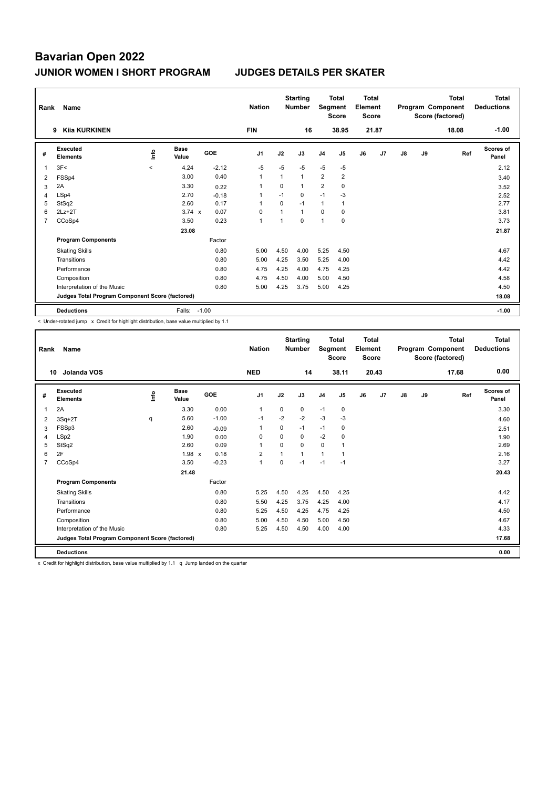| Rank | Name                                            |         |                      |            | <b>Nation</b>  |              | <b>Starting</b><br><b>Number</b> | Segment        | <b>Total</b><br><b>Score</b> | Total<br>Element<br><b>Score</b> |       |    |    | <b>Total</b><br>Program Component<br>Score (factored) | Total<br><b>Deductions</b> |
|------|-------------------------------------------------|---------|----------------------|------------|----------------|--------------|----------------------------------|----------------|------------------------------|----------------------------------|-------|----|----|-------------------------------------------------------|----------------------------|
|      | <b>Kija KURKINEN</b><br>9                       |         |                      |            | <b>FIN</b>     |              | 16                               |                | 38.95                        |                                  | 21.87 |    |    | 18.08                                                 | $-1.00$                    |
| #    | Executed<br><b>Elements</b>                     | ۴ů      | <b>Base</b><br>Value | <b>GOE</b> | J <sub>1</sub> | J2           | J3                               | J <sub>4</sub> | J5                           | J6                               | J7    | J8 | J9 | Ref                                                   | Scores of<br>Panel         |
| 1    | 3F<                                             | $\prec$ | 4.24                 | $-2.12$    | $-5$           | $-5$         | $-5$                             | $-5$           | $-5$                         |                                  |       |    |    |                                                       | 2.12                       |
| 2    | FSSp4                                           |         | 3.00                 | 0.40       | $\overline{1}$ | $\mathbf{1}$ | $\mathbf{1}$                     | $\overline{2}$ | $\overline{2}$               |                                  |       |    |    |                                                       | 3.40                       |
| 3    | 2A                                              |         | 3.30                 | 0.22       | -1             | $\Omega$     | 1                                | $\overline{2}$ | $\mathbf 0$                  |                                  |       |    |    |                                                       | 3.52                       |
| 4    | LSp4                                            |         | 2.70                 | $-0.18$    | -1             | $-1$         | 0                                | $-1$           | $-3$                         |                                  |       |    |    |                                                       | 2.52                       |
| 5    | StSq2                                           |         | 2.60                 | 0.17       | $\overline{1}$ | $\mathbf 0$  | $-1$                             | $\mathbf{1}$   | $\mathbf{1}$                 |                                  |       |    |    |                                                       | 2.77                       |
| 6    | $2Lz+2T$                                        |         | $3.74 \times$        | 0.07       | 0              | $\mathbf{1}$ | $\mathbf{1}$                     | 0              | 0                            |                                  |       |    |    |                                                       | 3.81                       |
| 7    | CCoSp4                                          |         | 3.50                 | 0.23       | $\overline{1}$ | 1            | 0                                | 1              | 0                            |                                  |       |    |    |                                                       | 3.73                       |
|      |                                                 |         | 23.08                |            |                |              |                                  |                |                              |                                  |       |    |    |                                                       | 21.87                      |
|      | <b>Program Components</b>                       |         |                      | Factor     |                |              |                                  |                |                              |                                  |       |    |    |                                                       |                            |
|      | <b>Skating Skills</b>                           |         |                      | 0.80       | 5.00           | 4.50         | 4.00                             | 5.25           | 4.50                         |                                  |       |    |    |                                                       | 4.67                       |
|      | Transitions                                     |         |                      | 0.80       | 5.00           | 4.25         | 3.50                             | 5.25           | 4.00                         |                                  |       |    |    |                                                       | 4.42                       |
|      | Performance                                     |         |                      | 0.80       | 4.75           | 4.25         | 4.00                             | 4.75           | 4.25                         |                                  |       |    |    |                                                       | 4.42                       |
|      | Composition                                     |         |                      | 0.80       | 4.75           | 4.50         | 4.00                             | 5.00           | 4.50                         |                                  |       |    |    |                                                       | 4.58                       |
|      | Interpretation of the Music                     |         |                      | 0.80       | 5.00           | 4.25         | 3.75                             | 5.00           | 4.25                         |                                  |       |    |    |                                                       | 4.50                       |
|      | Judges Total Program Component Score (factored) |         |                      |            |                |              |                                  |                |                              |                                  |       |    |    |                                                       | 18.08                      |
|      | <b>Deductions</b>                               |         | Falls:               | $-1.00$    |                |              |                                  |                |                              |                                  |       |    |    |                                                       | $-1.00$                    |

< Under-rotated jump x Credit for highlight distribution, base value multiplied by 1.1

| Rank           | Name                                            |      |                      |         | <b>Nation</b>  |                | <b>Starting</b><br><b>Number</b> | Segment        | <b>Total</b><br><b>Score</b> | <b>Total</b><br>Element<br><b>Score</b> |       |               |    | <b>Total</b><br>Program Component<br>Score (factored) | <b>Total</b><br><b>Deductions</b> |
|----------------|-------------------------------------------------|------|----------------------|---------|----------------|----------------|----------------------------------|----------------|------------------------------|-----------------------------------------|-------|---------------|----|-------------------------------------------------------|-----------------------------------|
|                | Jolanda VOS<br>10                               |      |                      |         | <b>NED</b>     |                | 14                               |                | 38.11                        |                                         | 20.43 |               |    | 17.68                                                 | 0.00                              |
| #              | Executed<br><b>Elements</b>                     | ١nf٥ | <b>Base</b><br>Value | GOE     | J <sub>1</sub> | J2             | J3                               | J <sub>4</sub> | J5                           | J6                                      | J7    | $\mathsf{J}8$ | J9 | Ref                                                   | <b>Scores of</b><br>Panel         |
| 1              | 2A                                              |      | 3.30                 | 0.00    | $\mathbf{1}$   | 0              | 0                                | $-1$           | $\mathbf 0$                  |                                         |       |               |    |                                                       | 3.30                              |
| 2              | $3Sq+2T$                                        | q    | 5.60                 | $-1.00$ | $-1$           | $-2$           | $-2$                             | $-3$           | $-3$                         |                                         |       |               |    |                                                       | 4.60                              |
| 3              | FSSp3                                           |      | 2.60                 | $-0.09$ | 1              | $\Omega$       | $-1$                             | $-1$           | 0                            |                                         |       |               |    |                                                       | 2.51                              |
| $\overline{4}$ | LSp2                                            |      | 1.90                 | 0.00    | 0              | $\Omega$       | 0                                | $-2$           | 0                            |                                         |       |               |    |                                                       | 1.90                              |
| 5              | StSq2                                           |      | 2.60                 | 0.09    | $\mathbf{1}$   | $\Omega$       | 0                                | $\mathbf 0$    |                              |                                         |       |               |    |                                                       | 2.69                              |
| 6              | 2F                                              |      | $1.98 \times$        | 0.18    | $\overline{2}$ | $\overline{1}$ | $\mathbf{1}$                     | $\mathbf{1}$   |                              |                                         |       |               |    |                                                       | 2.16                              |
| $\overline{7}$ | CCoSp4                                          |      | 3.50                 | $-0.23$ | $\mathbf{1}$   | $\Omega$       | $-1$                             | $-1$           | $-1$                         |                                         |       |               |    |                                                       | 3.27                              |
|                |                                                 |      | 21.48                |         |                |                |                                  |                |                              |                                         |       |               |    |                                                       | 20.43                             |
|                | <b>Program Components</b>                       |      |                      | Factor  |                |                |                                  |                |                              |                                         |       |               |    |                                                       |                                   |
|                | <b>Skating Skills</b>                           |      |                      | 0.80    | 5.25           | 4.50           | 4.25                             | 4.50           | 4.25                         |                                         |       |               |    |                                                       | 4.42                              |
|                | Transitions                                     |      |                      | 0.80    | 5.50           | 4.25           | 3.75                             | 4.25           | 4.00                         |                                         |       |               |    |                                                       | 4.17                              |
|                | Performance                                     |      |                      | 0.80    | 5.25           | 4.50           | 4.25                             | 4.75           | 4.25                         |                                         |       |               |    |                                                       | 4.50                              |
|                | Composition                                     |      |                      | 0.80    | 5.00           | 4.50           | 4.50                             | 5.00           | 4.50                         |                                         |       |               |    |                                                       | 4.67                              |
|                | Interpretation of the Music                     |      |                      | 0.80    | 5.25           | 4.50           | 4.50                             | 4.00           | 4.00                         |                                         |       |               |    |                                                       | 4.33                              |
|                | Judges Total Program Component Score (factored) |      |                      |         |                |                |                                  |                |                              |                                         |       |               |    |                                                       | 17.68                             |
|                | <b>Deductions</b>                               |      |                      |         |                |                |                                  |                |                              |                                         |       |               |    |                                                       | 0.00                              |
|                |                                                 |      |                      |         |                |                |                                  |                |                              |                                         |       |               |    |                                                       |                                   |

x Credit for highlight distribution, base value multiplied by 1.1 q Jump landed on the quarter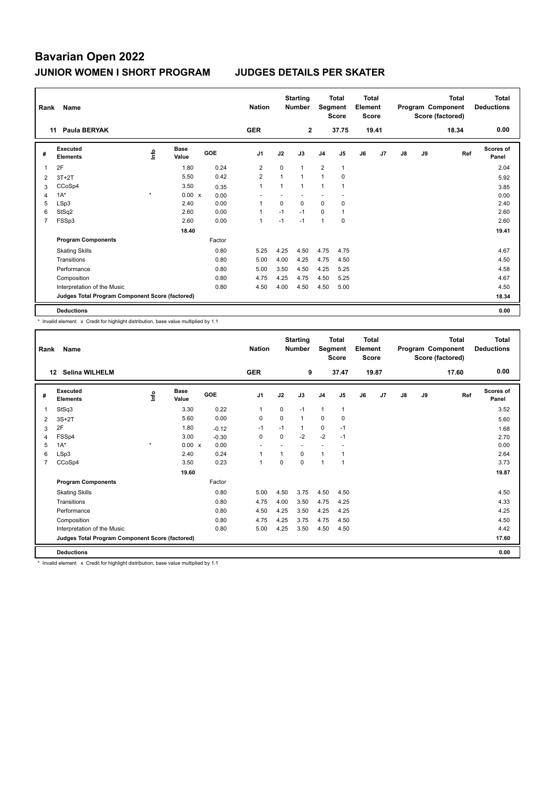| Rank           | Name                                            |         |                      |            | <b>Nation</b>  |              | <b>Starting</b><br><b>Number</b> | Segment        | <b>Total</b><br><b>Score</b> | <b>Total</b><br>Element<br><b>Score</b> |       |    |    | <b>Total</b><br>Program Component<br>Score (factored) | <b>Total</b><br><b>Deductions</b> |
|----------------|-------------------------------------------------|---------|----------------------|------------|----------------|--------------|----------------------------------|----------------|------------------------------|-----------------------------------------|-------|----|----|-------------------------------------------------------|-----------------------------------|
|                | Paula BERYAK<br>11                              |         |                      |            | <b>GER</b>     |              | $\mathbf{2}$                     |                | 37.75                        |                                         | 19.41 |    |    | 18.34                                                 | 0.00                              |
| #              | Executed<br><b>Elements</b>                     | ۴ů      | <b>Base</b><br>Value | <b>GOE</b> | J <sub>1</sub> | J2           | J3                               | J <sub>4</sub> | J5                           | J6                                      | J7    | J8 | J9 | Ref                                                   | Scores of<br>Panel                |
| 1              | 2F                                              |         | 1.80                 | 0.24       | $\overline{2}$ | $\mathbf 0$  | $\mathbf{1}$                     | $\overline{2}$ | $\mathbf{1}$                 |                                         |       |    |    |                                                       | 2.04                              |
| 2              | $3T+2T$                                         |         | 5.50                 | 0.42       | $\overline{2}$ | $\mathbf{1}$ | $\mathbf{1}$                     | $\mathbf{1}$   | $\mathbf 0$                  |                                         |       |    |    |                                                       | 5.92                              |
| 3              | CCoSp4                                          |         | 3.50                 | 0.35       | $\overline{1}$ | $\mathbf{1}$ | 1                                | 1              |                              |                                         |       |    |    |                                                       | 3.85                              |
| 4              | $1A^*$                                          | $\star$ | $0.00 \times$        | 0.00       |                |              |                                  |                |                              |                                         |       |    |    |                                                       | 0.00                              |
| 5              | LSp3                                            |         | 2.40                 | 0.00       | 1              | $\Omega$     | $\Omega$                         | 0              | $\mathbf 0$                  |                                         |       |    |    |                                                       | 2.40                              |
| 6              | StSq2                                           |         | 2.60                 | 0.00       | $\overline{1}$ | $-1$         | $-1$                             | $\mathbf 0$    | $\mathbf{1}$                 |                                         |       |    |    |                                                       | 2.60                              |
| $\overline{7}$ | FSSp3                                           |         | 2.60                 | 0.00       | $\mathbf{1}$   | $-1$         | $-1$                             | $\mathbf{1}$   | $\mathbf 0$                  |                                         |       |    |    |                                                       | 2.60                              |
|                |                                                 |         | 18.40                |            |                |              |                                  |                |                              |                                         |       |    |    |                                                       | 19.41                             |
|                | <b>Program Components</b>                       |         |                      | Factor     |                |              |                                  |                |                              |                                         |       |    |    |                                                       |                                   |
|                | <b>Skating Skills</b>                           |         |                      | 0.80       | 5.25           | 4.25         | 4.50                             | 4.75           | 4.75                         |                                         |       |    |    |                                                       | 4.67                              |
|                | Transitions                                     |         |                      | 0.80       | 5.00           | 4.00         | 4.25                             | 4.75           | 4.50                         |                                         |       |    |    |                                                       | 4.50                              |
|                | Performance                                     |         |                      | 0.80       | 5.00           | 3.50         | 4.50                             | 4.25           | 5.25                         |                                         |       |    |    |                                                       | 4.58                              |
|                | Composition                                     |         |                      | 0.80       | 4.75           | 4.25         | 4.75                             | 4.50           | 5.25                         |                                         |       |    |    |                                                       | 4.67                              |
|                | Interpretation of the Music                     |         |                      | 0.80       | 4.50           | 4.00         | 4.50                             | 4.50           | 5.00                         |                                         |       |    |    |                                                       | 4.50                              |
|                | Judges Total Program Component Score (factored) |         |                      |            |                |              |                                  |                |                              |                                         |       |    |    |                                                       | 18.34                             |
|                | <b>Deductions</b>                               |         |                      |            |                |              |                                  |                |                              |                                         |       |    |    |                                                       | 0.00                              |

\* Invalid element x Credit for highlight distribution, base value multiplied by 1.1

| Rank | Name                                            |         |                      |         | <b>Nation</b>  |          | <b>Starting</b><br><b>Number</b> | Segment        | Total<br><b>Score</b> | Total<br>Element<br><b>Score</b> |       |               |    | Total<br>Program Component<br>Score (factored) | Total<br><b>Deductions</b> |
|------|-------------------------------------------------|---------|----------------------|---------|----------------|----------|----------------------------------|----------------|-----------------------|----------------------------------|-------|---------------|----|------------------------------------------------|----------------------------|
|      | <b>Selina WILHELM</b><br>12                     |         |                      |         | <b>GER</b>     |          | 9                                |                | 37.47                 |                                  | 19.87 |               |    | 17.60                                          | 0.00                       |
| #    | Executed<br><b>Elements</b>                     | lnfo    | <b>Base</b><br>Value | GOE     | J <sub>1</sub> | J2       | J3                               | J <sub>4</sub> | J5                    | J6                               | J7    | $\mathsf{J}8$ | J9 | Ref                                            | <b>Scores of</b><br>Panel  |
| 1    | StSq3                                           |         | 3.30                 | 0.22    | $\mathbf{1}$   | $\Omega$ | $-1$                             | $\mathbf{1}$   | 1                     |                                  |       |               |    |                                                | 3.52                       |
| 2    | $3S+2T$                                         |         | 5.60                 | 0.00    | 0              | 0        | $\mathbf{1}$                     | 0              | 0                     |                                  |       |               |    |                                                | 5.60                       |
| 3    | 2F                                              |         | 1.80                 | $-0.12$ | $-1$           | $-1$     | $\mathbf{1}$                     | $\mathbf 0$    | $-1$                  |                                  |       |               |    |                                                | 1.68                       |
| 4    | FSSp4                                           |         | 3.00                 | $-0.30$ | $\Omega$       | $\Omega$ | $-2$                             | $-2$           | $-1$                  |                                  |       |               |    |                                                | 2.70                       |
| 5    | $1A^*$                                          | $\star$ | 0.00 x               | 0.00    |                |          |                                  |                |                       |                                  |       |               |    |                                                | 0.00                       |
| 6    | LSp3                                            |         | 2.40                 | 0.24    | 1              | 1        | $\Omega$                         | $\mathbf{1}$   |                       |                                  |       |               |    |                                                | 2.64                       |
| 7    | CCoSp4                                          |         | 3.50                 | 0.23    | $\mathbf{1}$   | $\Omega$ | $\Omega$                         | $\mathbf{1}$   | 1                     |                                  |       |               |    |                                                | 3.73                       |
|      |                                                 |         | 19.60                |         |                |          |                                  |                |                       |                                  |       |               |    |                                                | 19.87                      |
|      | <b>Program Components</b>                       |         |                      | Factor  |                |          |                                  |                |                       |                                  |       |               |    |                                                |                            |
|      | <b>Skating Skills</b>                           |         |                      | 0.80    | 5.00           | 4.50     | 3.75                             | 4.50           | 4.50                  |                                  |       |               |    |                                                | 4.50                       |
|      | Transitions                                     |         |                      | 0.80    | 4.75           | 4.00     | 3.50                             | 4.75           | 4.25                  |                                  |       |               |    |                                                | 4.33                       |
|      | Performance                                     |         |                      | 0.80    | 4.50           | 4.25     | 3.50                             | 4.25           | 4.25                  |                                  |       |               |    |                                                | 4.25                       |
|      | Composition                                     |         |                      | 0.80    | 4.75           | 4.25     | 3.75                             | 4.75           | 4.50                  |                                  |       |               |    |                                                | 4.50                       |
|      | Interpretation of the Music                     |         |                      | 0.80    | 5.00           | 4.25     | 3.50                             | 4.50           | 4.50                  |                                  |       |               |    |                                                | 4.42                       |
|      | Judges Total Program Component Score (factored) |         |                      |         |                |          |                                  |                |                       |                                  |       |               |    |                                                | 17.60                      |
|      | <b>Deductions</b>                               |         |                      |         |                |          |                                  |                |                       |                                  |       |               |    |                                                | 0.00                       |

\* Invalid element x Credit for highlight distribution, base value multiplied by 1.1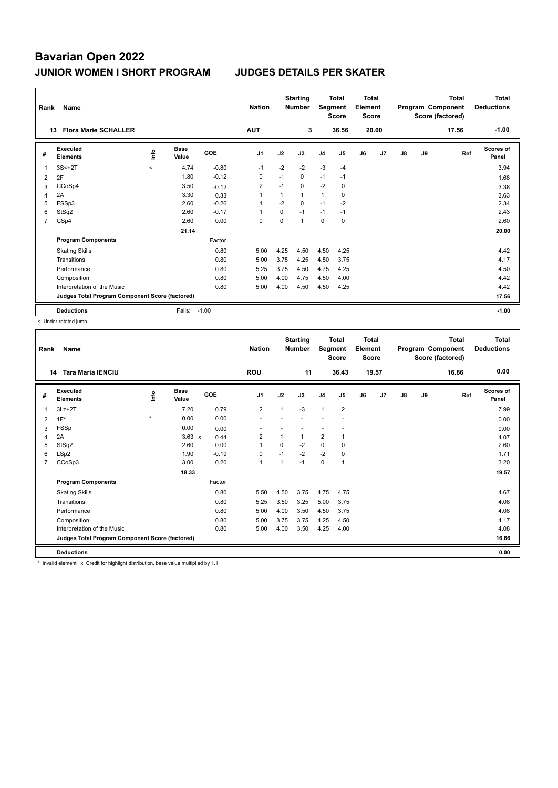| Rank           | Name                                            |         |                      |            | <b>Nation</b>  |      | <b>Starting</b><br><b>Number</b> | Segment        | <b>Total</b><br><b>Score</b> | <b>Total</b><br>Element<br><b>Score</b> |       |               |    | Total<br>Program Component<br>Score (factored) | <b>Total</b><br><b>Deductions</b> |
|----------------|-------------------------------------------------|---------|----------------------|------------|----------------|------|----------------------------------|----------------|------------------------------|-----------------------------------------|-------|---------------|----|------------------------------------------------|-----------------------------------|
|                | <b>Flora Marie SCHALLER</b><br>13               |         |                      |            | <b>AUT</b>     |      | 3                                |                | 36.56                        |                                         | 20.00 |               |    | 17.56                                          | $-1.00$                           |
| #              | <b>Executed</b><br><b>Elements</b>              | ۴       | <b>Base</b><br>Value | <b>GOE</b> | J <sub>1</sub> | J2   | J3                               | J <sub>4</sub> | J <sub>5</sub>               | J6                                      | J7    | $\mathsf{J}8$ | J9 | Ref                                            | <b>Scores of</b><br>Panel         |
| 1              | $3S<+2T$                                        | $\prec$ | 4.74                 | $-0.80$    | $-1$           | $-2$ | $-2$                             | $-3$           | $-4$                         |                                         |       |               |    |                                                | 3.94                              |
| 2              | 2F                                              |         | 1.80                 | $-0.12$    | 0              | $-1$ | $\mathbf 0$                      | $-1$           | $-1$                         |                                         |       |               |    |                                                | 1.68                              |
| 3              | CCoSp4                                          |         | 3.50                 | $-0.12$    | $\overline{2}$ | $-1$ | $\mathbf 0$                      | $-2$           | 0                            |                                         |       |               |    |                                                | 3.38                              |
| 4              | 2A                                              |         | 3.30                 | 0.33       | 1              | 1    | $\mathbf{1}$                     | $\mathbf{1}$   | 0                            |                                         |       |               |    |                                                | 3.63                              |
| 5              | FSSp3                                           |         | 2.60                 | $-0.26$    | 1              | $-2$ | $\mathbf 0$                      | $-1$           | $-2$                         |                                         |       |               |    |                                                | 2.34                              |
| 6              | StSq2                                           |         | 2.60                 | $-0.17$    | 1              | 0    | $-1$                             | $-1$           | $-1$                         |                                         |       |               |    |                                                | 2.43                              |
| $\overline{7}$ | CSp4                                            |         | 2.60                 | 0.00       | 0              | 0    | $\mathbf{1}$                     | $\mathbf 0$    | 0                            |                                         |       |               |    |                                                | 2.60                              |
|                |                                                 |         | 21.14                |            |                |      |                                  |                |                              |                                         |       |               |    |                                                | 20.00                             |
|                | <b>Program Components</b>                       |         |                      | Factor     |                |      |                                  |                |                              |                                         |       |               |    |                                                |                                   |
|                | <b>Skating Skills</b>                           |         |                      | 0.80       | 5.00           | 4.25 | 4.50                             | 4.50           | 4.25                         |                                         |       |               |    |                                                | 4.42                              |
|                | Transitions                                     |         |                      | 0.80       | 5.00           | 3.75 | 4.25                             | 4.50           | 3.75                         |                                         |       |               |    |                                                | 4.17                              |
|                | Performance                                     |         |                      | 0.80       | 5.25           | 3.75 | 4.50                             | 4.75           | 4.25                         |                                         |       |               |    |                                                | 4.50                              |
|                | Composition                                     |         |                      | 0.80       | 5.00           | 4.00 | 4.75                             | 4.50           | 4.00                         |                                         |       |               |    |                                                | 4.42                              |
|                | Interpretation of the Music                     |         |                      | 0.80       | 5.00           | 4.00 | 4.50                             | 4.50           | 4.25                         |                                         |       |               |    |                                                | 4.42                              |
|                | Judges Total Program Component Score (factored) |         |                      |            |                |      |                                  |                |                              |                                         |       |               |    |                                                | 17.56                             |
|                | <b>Deductions</b>                               |         | Falls:               | $-1.00$    |                |      |                                  |                |                              |                                         |       |               |    |                                                | $-1.00$                           |

< Under-rotated jump

| Rank           | Name                                            |         |                      |         | <b>Nation</b>  |                         | <b>Starting</b><br><b>Number</b> | Segment        | <b>Total</b><br><b>Score</b> | <b>Total</b><br>Element<br><b>Score</b> |       |    |    | <b>Total</b><br>Program Component<br>Score (factored) | <b>Total</b><br><b>Deductions</b> |
|----------------|-------------------------------------------------|---------|----------------------|---------|----------------|-------------------------|----------------------------------|----------------|------------------------------|-----------------------------------------|-------|----|----|-------------------------------------------------------|-----------------------------------|
|                | <b>Tara Maria IENCIU</b><br>14                  |         |                      |         | <b>ROU</b>     |                         | 11                               |                | 36.43                        |                                         | 19.57 |    |    | 16.86                                                 | 0.00                              |
| #              | Executed<br><b>Elements</b>                     | lnfo    | <b>Base</b><br>Value | GOE     | J <sub>1</sub> | J2                      | J3                               | J <sub>4</sub> | J <sub>5</sub>               | J6                                      | J7    | J8 | J9 | Ref                                                   | <b>Scores of</b><br>Panel         |
| 1              | $3Lz + 2T$                                      |         | 7.20                 | 0.79    | $\overline{2}$ | $\mathbf{1}$            | $-3$                             | $\overline{1}$ | $\overline{2}$               |                                         |       |    |    |                                                       | 7.99                              |
| 2              | $1F^*$                                          | $\star$ | 0.00                 | 0.00    |                |                         |                                  |                |                              |                                         |       |    |    |                                                       | 0.00                              |
| 3              | FSSp                                            |         | 0.00                 | 0.00    |                |                         |                                  |                |                              |                                         |       |    |    |                                                       | 0.00                              |
| 4              | 2A                                              |         | $3.63 \times$        | 0.44    | $\overline{2}$ |                         | 1                                | $\overline{2}$ | $\mathbf{1}$                 |                                         |       |    |    |                                                       | 4.07                              |
| 5              | StSq2                                           |         | 2.60                 | 0.00    | $\mathbf{1}$   | $\Omega$                | $-2$                             | $\Omega$       | 0                            |                                         |       |    |    |                                                       | 2.60                              |
| 6              | LSp2                                            |         | 1.90                 | $-0.19$ | $\mathbf 0$    | $-1$                    | $-2$                             | $-2$           | $\mathbf 0$                  |                                         |       |    |    |                                                       | 1.71                              |
| $\overline{7}$ | CCoSp3                                          |         | 3.00                 | 0.20    | $\mathbf{1}$   | $\overline{\mathbf{1}}$ | $-1$                             | $\mathbf 0$    | $\mathbf 1$                  |                                         |       |    |    |                                                       | 3.20                              |
|                |                                                 |         | 18.33                |         |                |                         |                                  |                |                              |                                         |       |    |    |                                                       | 19.57                             |
|                | <b>Program Components</b>                       |         |                      | Factor  |                |                         |                                  |                |                              |                                         |       |    |    |                                                       |                                   |
|                | <b>Skating Skills</b>                           |         |                      | 0.80    | 5.50           | 4.50                    | 3.75                             | 4.75           | 4.75                         |                                         |       |    |    |                                                       | 4.67                              |
|                | Transitions                                     |         |                      | 0.80    | 5.25           | 3.50                    | 3.25                             | 5.00           | 3.75                         |                                         |       |    |    |                                                       | 4.08                              |
|                | Performance                                     |         |                      | 0.80    | 5.00           | 4.00                    | 3.50                             | 4.50           | 3.75                         |                                         |       |    |    |                                                       | 4.08                              |
|                | Composition                                     |         |                      | 0.80    | 5.00           | 3.75                    | 3.75                             | 4.25           | 4.50                         |                                         |       |    |    |                                                       | 4.17                              |
|                | Interpretation of the Music                     |         |                      | 0.80    | 5.00           | 4.00                    | 3.50                             | 4.25           | 4.00                         |                                         |       |    |    |                                                       | 4.08                              |
|                | Judges Total Program Component Score (factored) |         |                      |         |                |                         |                                  |                |                              |                                         |       |    |    |                                                       | 16.86                             |
|                | <b>Deductions</b>                               |         |                      |         |                |                         |                                  |                |                              |                                         |       |    |    |                                                       | 0.00                              |
|                | .                                               |         | $\sim$               | .       |                |                         |                                  |                |                              |                                         |       |    |    |                                                       |                                   |

\* Invalid element x Credit for highlight distribution, base value multiplied by 1.1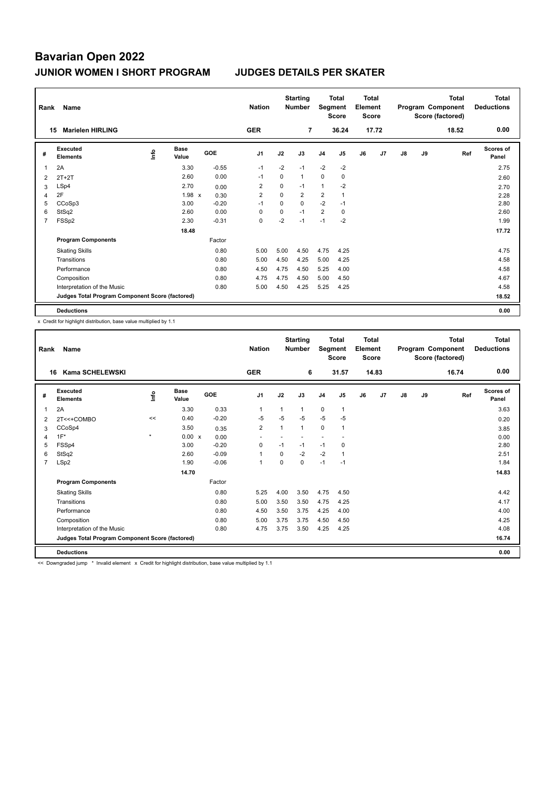| Rank           | Name                                            |    |                      |            | <b>Nation</b>  |             | <b>Starting</b><br><b>Number</b> | Segment        | <b>Total</b><br><b>Score</b> | <b>Total</b><br>Element<br><b>Score</b> |       |    |    | <b>Total</b><br>Program Component<br>Score (factored) | <b>Total</b><br><b>Deductions</b> |
|----------------|-------------------------------------------------|----|----------------------|------------|----------------|-------------|----------------------------------|----------------|------------------------------|-----------------------------------------|-------|----|----|-------------------------------------------------------|-----------------------------------|
|                | <b>Marielen HIRLING</b><br>15                   |    |                      |            | <b>GER</b>     |             | 7                                |                | 36.24                        |                                         | 17.72 |    |    | 18.52                                                 | 0.00                              |
| #              | Executed<br><b>Elements</b>                     | ۴ů | <b>Base</b><br>Value | <b>GOE</b> | J <sub>1</sub> | J2          | J3                               | J <sub>4</sub> | J <sub>5</sub>               | J6                                      | J7    | J8 | J9 | Ref                                                   | Scores of<br>Panel                |
| 1              | 2A                                              |    | 3.30                 | $-0.55$    | $-1$           | $-2$        | $-1$                             | $-2$           | $-2$                         |                                         |       |    |    |                                                       | 2.75                              |
| 2              | $2T+2T$                                         |    | 2.60                 | 0.00       | $-1$           | $\Omega$    | $\mathbf{1}$                     | 0              | $\mathbf 0$                  |                                         |       |    |    |                                                       | 2.60                              |
| 3              | LSp4                                            |    | 2.70                 | 0.00       | $\overline{2}$ | 0           | $-1$                             | 1              | $-2$                         |                                         |       |    |    |                                                       | 2.70                              |
| 4              | 2F                                              |    | 1.98 x               | 0.30       | $\overline{2}$ | $\mathbf 0$ | $\overline{2}$                   | $\overline{2}$ |                              |                                         |       |    |    |                                                       | 2.28                              |
| 5              | CCoSp3                                          |    | 3.00                 | $-0.20$    | $-1$           | $\Omega$    | $\Omega$                         | $-2$           | $-1$                         |                                         |       |    |    |                                                       | 2.80                              |
| 6              | StSq2                                           |    | 2.60                 | 0.00       | 0              | 0           | $-1$                             | 2              | 0                            |                                         |       |    |    |                                                       | 2.60                              |
| $\overline{7}$ | FSSp2                                           |    | 2.30                 | $-0.31$    | 0              | $-2$        | $-1$                             | $-1$           | $-2$                         |                                         |       |    |    |                                                       | 1.99                              |
|                |                                                 |    | 18.48                |            |                |             |                                  |                |                              |                                         |       |    |    |                                                       | 17.72                             |
|                | <b>Program Components</b>                       |    |                      | Factor     |                |             |                                  |                |                              |                                         |       |    |    |                                                       |                                   |
|                | <b>Skating Skills</b>                           |    |                      | 0.80       | 5.00           | 5.00        | 4.50                             | 4.75           | 4.25                         |                                         |       |    |    |                                                       | 4.75                              |
|                | Transitions                                     |    |                      | 0.80       | 5.00           | 4.50        | 4.25                             | 5.00           | 4.25                         |                                         |       |    |    |                                                       | 4.58                              |
|                | Performance                                     |    |                      | 0.80       | 4.50           | 4.75        | 4.50                             | 5.25           | 4.00                         |                                         |       |    |    |                                                       | 4.58                              |
|                | Composition                                     |    |                      | 0.80       | 4.75           | 4.75        | 4.50                             | 5.00           | 4.50                         |                                         |       |    |    |                                                       | 4.67                              |
|                | Interpretation of the Music                     |    |                      | 0.80       | 5.00           | 4.50        | 4.25                             | 5.25           | 4.25                         |                                         |       |    |    |                                                       | 4.58                              |
|                | Judges Total Program Component Score (factored) |    |                      |            |                |             |                                  |                |                              |                                         |       |    |    |                                                       | 18.52                             |
|                | <b>Deductions</b>                               |    |                      |            |                |             |                                  |                |                              |                                         |       |    |    |                                                       | 0.00                              |

x Credit for highlight distribution, base value multiplied by 1.1

| Rank           | Name                                            |         |                      |         | <b>Nation</b>            |          | <b>Starting</b><br><b>Number</b> | Segment        | <b>Total</b><br><b>Score</b> | <b>Total</b><br>Element<br><b>Score</b> |       |    |    | <b>Total</b><br>Program Component<br>Score (factored) | <b>Total</b><br><b>Deductions</b> |
|----------------|-------------------------------------------------|---------|----------------------|---------|--------------------------|----------|----------------------------------|----------------|------------------------------|-----------------------------------------|-------|----|----|-------------------------------------------------------|-----------------------------------|
|                | Kama SCHELEWSKI<br>16                           |         |                      |         | <b>GER</b>               |          | 6                                |                | 31.57                        |                                         | 14.83 |    |    | 16.74                                                 | 0.00                              |
| #              | Executed<br><b>Elements</b>                     | lnfo    | <b>Base</b><br>Value | GOE     | J <sub>1</sub>           | J2       | J3                               | J <sub>4</sub> | J <sub>5</sub>               | J6                                      | J7    | J8 | J9 | Ref                                                   | Scores of<br>Panel                |
| 1              | 2A                                              |         | 3.30                 | 0.33    | $\mathbf{1}$             | 1        | $\mathbf{1}$                     | $\mathbf 0$    | $\mathbf{1}$                 |                                         |       |    |    |                                                       | 3.63                              |
| 2              | 2T<<+COMBO                                      | <<      | 0.40                 | $-0.20$ | $-5$                     | $-5$     | $-5$                             | $-5$           | $-5$                         |                                         |       |    |    |                                                       | 0.20                              |
| 3              | CCoSp4                                          |         | 3.50                 | 0.35    | $\overline{2}$           | 1        | 1                                | $\mathbf 0$    | 1                            |                                         |       |    |    |                                                       | 3.85                              |
| 4              | $1F^*$                                          | $\star$ | 0.00 x               | 0.00    | $\overline{\phantom{a}}$ |          |                                  | ٠              |                              |                                         |       |    |    |                                                       | 0.00                              |
| 5              | FSSp4                                           |         | 3.00                 | $-0.20$ | 0                        | $-1$     | $-1$                             | $-1$           | $\Omega$                     |                                         |       |    |    |                                                       | 2.80                              |
| 6              | StSq2                                           |         | 2.60                 | $-0.09$ | $\mathbf{1}$             | $\Omega$ | $-2$                             | $-2$           | 1                            |                                         |       |    |    |                                                       | 2.51                              |
| $\overline{7}$ | LSp2                                            |         | 1.90                 | $-0.06$ | $\mathbf{1}$             | $\Omega$ | $\Omega$                         | $-1$           | $-1$                         |                                         |       |    |    |                                                       | 1.84                              |
|                |                                                 |         | 14.70                |         |                          |          |                                  |                |                              |                                         |       |    |    |                                                       | 14.83                             |
|                | <b>Program Components</b>                       |         |                      | Factor  |                          |          |                                  |                |                              |                                         |       |    |    |                                                       |                                   |
|                | <b>Skating Skills</b>                           |         |                      | 0.80    | 5.25                     | 4.00     | 3.50                             | 4.75           | 4.50                         |                                         |       |    |    |                                                       | 4.42                              |
|                | Transitions                                     |         |                      | 0.80    | 5.00                     | 3.50     | 3.50                             | 4.75           | 4.25                         |                                         |       |    |    |                                                       | 4.17                              |
|                | Performance                                     |         |                      | 0.80    | 4.50                     | 3.50     | 3.75                             | 4.25           | 4.00                         |                                         |       |    |    |                                                       | 4.00                              |
|                | Composition                                     |         |                      | 0.80    | 5.00                     | 3.75     | 3.75                             | 4.50           | 4.50                         |                                         |       |    |    |                                                       | 4.25                              |
|                | Interpretation of the Music                     |         |                      | 0.80    | 4.75                     | 3.75     | 3.50                             | 4.25           | 4.25                         |                                         |       |    |    |                                                       | 4.08                              |
|                | Judges Total Program Component Score (factored) |         |                      |         |                          |          |                                  |                |                              |                                         |       |    |    |                                                       | 16.74                             |
|                | <b>Deductions</b>                               |         |                      |         |                          |          |                                  |                |                              |                                         |       |    |    |                                                       | 0.00                              |

<< Downgraded jump \* Invalid element x Credit for highlight distribution, base value multiplied by 1.1